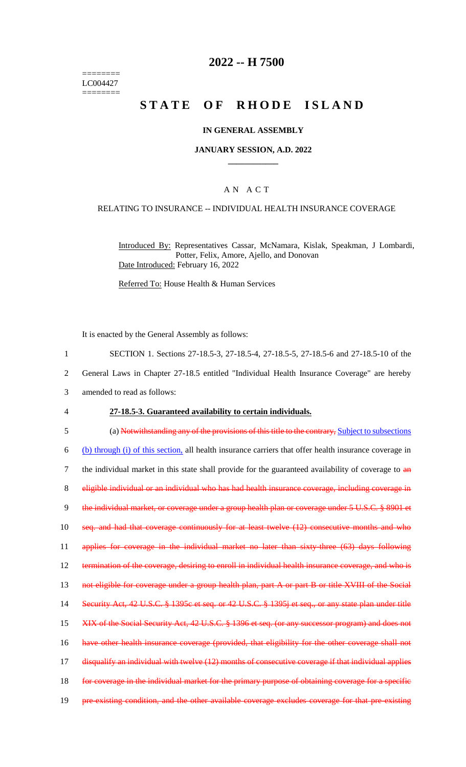======== LC004427 ========

# **2022 -- H 7500**

# **STATE OF RHODE ISLAND**

#### **IN GENERAL ASSEMBLY**

#### **JANUARY SESSION, A.D. 2022 \_\_\_\_\_\_\_\_\_\_\_\_**

#### A N A C T

#### RELATING TO INSURANCE -- INDIVIDUAL HEALTH INSURANCE COVERAGE

Introduced By: Representatives Cassar, McNamara, Kislak, Speakman, J Lombardi, Potter, Felix, Amore, Ajello, and Donovan Date Introduced: February 16, 2022

Referred To: House Health & Human Services

It is enacted by the General Assembly as follows:

1 SECTION 1. Sections 27-18.5-3, 27-18.5-4, 27-18.5-5, 27-18.5-6 and 27-18.5-10 of the

2 General Laws in Chapter 27-18.5 entitled "Individual Health Insurance Coverage" are hereby

- 3 amended to read as follows:
- 4 **27-18.5-3. Guaranteed availability to certain individuals.**

5 (a) Notwithstanding any of the provisions of this title to the contrary, Subject to subsections 6 (b) through (i) of this section, all health insurance carriers that offer health insurance coverage in 7 the individual market in this state shall provide for the guaranteed availability of coverage to  $\frac{d}{dx}$ 8 eligible individual or an individual who has had health insurance coverage, including coverage in 9 the individual market, or coverage under a group health plan or coverage under 5 U.S.C. § 8901 et 10 seq. and had that coverage continuously for at least twelve (12) consecutive months and who 11 applies for coverage in the individual market no later than sixty-three (63) days following 12 termination of the coverage, desiring to enroll in individual health insurance coverage, and who is 13 not eligible for coverage under a group health plan, part A or part B or title XVIII of the Social 14 Security Act, 42 U.S.C. § 1395c et seq. or 42 U.S.C. § 1395j et seq., or any state plan under title 15 XIX of the Social Security Act, 42 U.S.C. § 1396 et seq. (or any successor program) and does not 16 have other health insurance coverage (provided, that eligibility for the other coverage shall not 17 disqualify an individual with twelve (12) months of consecutive coverage if that individual applies 18 for coverage in the individual market for the primary purpose of obtaining coverage for a specific 19 pre-existing condition, and the other available coverage excludes coverage for that pre-existing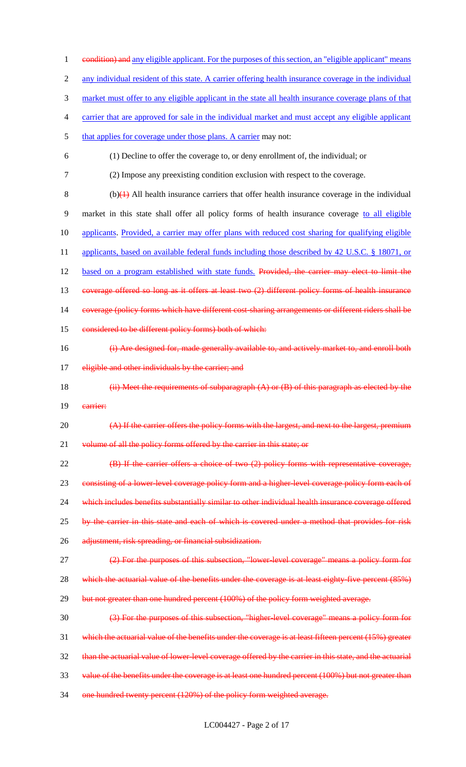1 eondition) and any eligible applicant. For the purposes of this section, an "eligible applicant" means 2 any individual resident of this state. A carrier offering health insurance coverage in the individual 3 market must offer to any eligible applicant in the state all health insurance coverage plans of that 4 carrier that are approved for sale in the individual market and must accept any eligible applicant 5 that applies for coverage under those plans. A carrier may not: 6 (1) Decline to offer the coverage to, or deny enrollment of, the individual; or 7 (2) Impose any preexisting condition exclusion with respect to the coverage.  $8$  (b) $\left(\frac{1}{2}\right)$  All health insurance carriers that offer health insurance coverage in the individual 9 market in this state shall offer all policy forms of health insurance coverage to all eligible 10 applicants. Provided, a carrier may offer plans with reduced cost sharing for qualifying eligible 11 applicants, based on available federal funds including those described by 42 U.S.C. § 18071, or 12 based on a program established with state funds. Provided, the carrier may elect to limit the 13 coverage offered so long as it offers at least two (2) different policy forms of health insurance 14 coverage (policy forms which have different cost-sharing arrangements or different riders shall be 15 considered to be different policy forms) both of which: 16 (i) Are designed for, made generally available to, and actively market to, and enroll both 17 eligible and other individuals by the carrier; and 18  $(iii)$  Meet the requirements of subparagraph  $(A)$  or  $(B)$  of this paragraph as elected by the 19 carrier: 20 (A) If the carrier offers the policy forms with the largest, and next to the largest, premium 21 volume of all the policy forms offered by the carrier in this state; or 22 (B) If the carrier offers a choice of two (2) policy forms with representative coverage, 23 consisting of a lower-level coverage policy form and a higher-level coverage policy form each of 24 which includes benefits substantially similar to other individual health insurance coverage offered 25 by the carrier in this state and each of which is covered under a method that provides for risk 26 adjustment, risk spreading, or financial subsidization. 27 (2) For the purposes of this subsection, "lower-level coverage" means a policy form for 28 which the actuarial value of the benefits under the coverage is at least eighty-five percent (85%) 29 but not greater than one hundred percent (100%) of the policy form weighted average. 30 (3) For the purposes of this subsection, "higher-level coverage" means a policy form for 31 which the actuarial value of the benefits under the coverage is at least fifteen percent (15%) greater 32 than the actuarial value of lower-level coverage offered by the carrier in this state, and the actuarial 33 value of the benefits under the coverage is at least one hundred percent (100%) but not greater than 34 one hundred twenty percent (120%) of the policy form weighted average.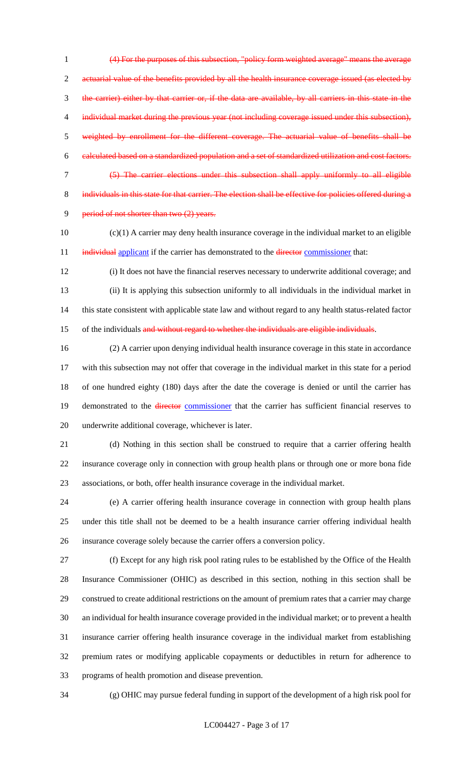(4) For the purposes of this subsection, "policy form weighted average" means the average 2 actuarial value of the benefits provided by all the health insurance coverage issued (as elected by the carrier) either by that carrier or, if the data are available, by all carriers in this state in the 4 individual market during the previous year (not including coverage issued under this subsection), weighted by enrollment for the different coverage. The actuarial value of benefits shall be calculated based on a standardized population and a set of standardized utilization and cost factors. (5) The carrier elections under this subsection shall apply uniformly to all eligible 8 individuals in this state for that carrier. The election shall be effective for policies offered during a 9 period of not shorter than two (2) years.

 (c)(1) A carrier may deny health insurance coverage in the individual market to an eligible 11 individual applicant if the carrier has demonstrated to the director commissioner that:

 (i) It does not have the financial reserves necessary to underwrite additional coverage; and (ii) It is applying this subsection uniformly to all individuals in the individual market in this state consistent with applicable state law and without regard to any health status-related factor 15 of the individuals and without regard to whether the individuals are eligible individuals.

 (2) A carrier upon denying individual health insurance coverage in this state in accordance with this subsection may not offer that coverage in the individual market in this state for a period of one hundred eighty (180) days after the date the coverage is denied or until the carrier has 19 demonstrated to the director commissioner that the carrier has sufficient financial reserves to underwrite additional coverage, whichever is later.

 (d) Nothing in this section shall be construed to require that a carrier offering health insurance coverage only in connection with group health plans or through one or more bona fide associations, or both, offer health insurance coverage in the individual market.

 (e) A carrier offering health insurance coverage in connection with group health plans under this title shall not be deemed to be a health insurance carrier offering individual health insurance coverage solely because the carrier offers a conversion policy.

 (f) Except for any high risk pool rating rules to be established by the Office of the Health Insurance Commissioner (OHIC) as described in this section, nothing in this section shall be construed to create additional restrictions on the amount of premium rates that a carrier may charge an individual for health insurance coverage provided in the individual market; or to prevent a health insurance carrier offering health insurance coverage in the individual market from establishing premium rates or modifying applicable copayments or deductibles in return for adherence to programs of health promotion and disease prevention.

(g) OHIC may pursue federal funding in support of the development of a high risk pool for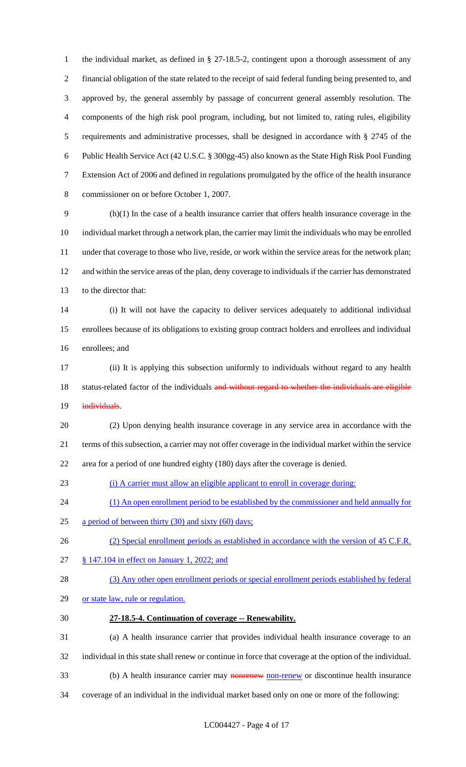the individual market, as defined in § 27-18.5-2, contingent upon a thorough assessment of any financial obligation of the state related to the receipt of said federal funding being presented to, and approved by, the general assembly by passage of concurrent general assembly resolution. The components of the high risk pool program, including, but not limited to, rating rules, eligibility requirements and administrative processes, shall be designed in accordance with § 2745 of the Public Health Service Act (42 U.S.C. § 300gg-45) also known as the State High Risk Pool Funding Extension Act of 2006 and defined in regulations promulgated by the office of the health insurance commissioner on or before October 1, 2007.

 (h)(1) In the case of a health insurance carrier that offers health insurance coverage in the individual market through a network plan, the carrier may limit the individuals who may be enrolled under that coverage to those who live, reside, or work within the service areas for the network plan; and within the service areas of the plan, deny coverage to individuals if the carrier has demonstrated to the director that:

 (i) It will not have the capacity to deliver services adequately to additional individual enrollees because of its obligations to existing group contract holders and enrollees and individual enrollees; and

 (ii) It is applying this subsection uniformly to individuals without regard to any health 18 status-related factor of the individuals and without regard to whether the individuals are eligible 19 individuals.

 (2) Upon denying health insurance coverage in any service area in accordance with the terms of this subsection, a carrier may not offer coverage in the individual market within the service area for a period of one hundred eighty (180) days after the coverage is denied.

(i) A carrier must allow an eligible applicant to enroll in coverage during:

24 (1) An open enrollment period to be established by the commissioner and held annually for

a period of between thirty (30) and sixty (60) days;

26 (2) Special enrollment periods as established in accordance with the version of 45 C.F.R.

§ 147.104 in effect on January 1, 2022; and

(3) Any other open enrollment periods or special enrollment periods established by federal

- 29 or state law, rule or regulation.
- **27-18.5-4. Continuation of coverage -- Renewability.**
- (a) A health insurance carrier that provides individual health insurance coverage to an individual in this state shall renew or continue in force that coverage at the option of the individual.
- 33 (b) A health insurance carrier may **nonrenew** non-renew or discontinue health insurance
- coverage of an individual in the individual market based only on one or more of the following: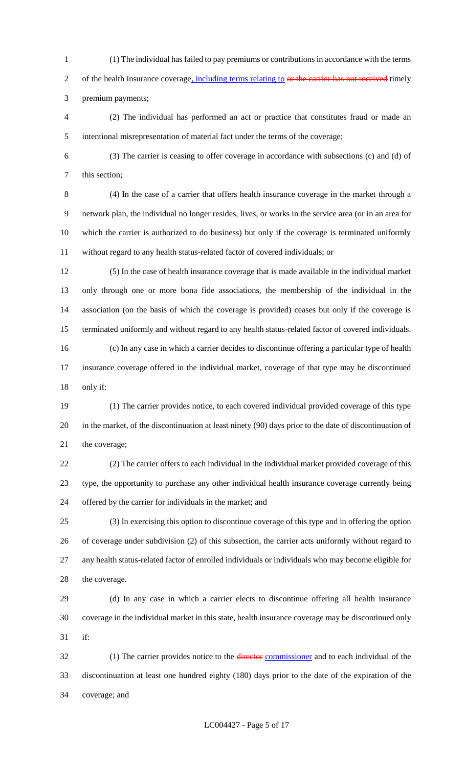(1) The individual has failed to pay premiums or contributions in accordance with the terms 2 of the health insurance coverage, including terms relating to or the carrier has not received timely

premium payments;

 (2) The individual has performed an act or practice that constitutes fraud or made an intentional misrepresentation of material fact under the terms of the coverage;

 (3) The carrier is ceasing to offer coverage in accordance with subsections (c) and (d) of this section;

 (4) In the case of a carrier that offers health insurance coverage in the market through a network plan, the individual no longer resides, lives, or works in the service area (or in an area for which the carrier is authorized to do business) but only if the coverage is terminated uniformly without regard to any health status-related factor of covered individuals; or

 (5) In the case of health insurance coverage that is made available in the individual market only through one or more bona fide associations, the membership of the individual in the association (on the basis of which the coverage is provided) ceases but only if the coverage is terminated uniformly and without regard to any health status-related factor of covered individuals. (c) In any case in which a carrier decides to discontinue offering a particular type of health insurance coverage offered in the individual market, coverage of that type may be discontinued only if:

 (1) The carrier provides notice, to each covered individual provided coverage of this type in the market, of the discontinuation at least ninety (90) days prior to the date of discontinuation of the coverage;

 (2) The carrier offers to each individual in the individual market provided coverage of this type, the opportunity to purchase any other individual health insurance coverage currently being offered by the carrier for individuals in the market; and

 (3) In exercising this option to discontinue coverage of this type and in offering the option of coverage under subdivision (2) of this subsection, the carrier acts uniformly without regard to any health status-related factor of enrolled individuals or individuals who may become eligible for the coverage.

 (d) In any case in which a carrier elects to discontinue offering all health insurance coverage in the individual market in this state, health insurance coverage may be discontinued only if:

32 (1) The carrier provides notice to the director commissioner and to each individual of the discontinuation at least one hundred eighty (180) days prior to the date of the expiration of the coverage; and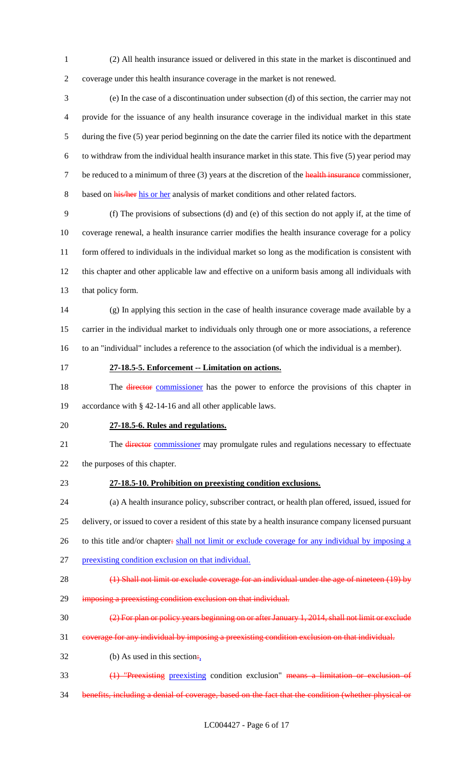(2) All health insurance issued or delivered in this state in the market is discontinued and coverage under this health insurance coverage in the market is not renewed.

 (e) In the case of a discontinuation under subsection (d) of this section, the carrier may not provide for the issuance of any health insurance coverage in the individual market in this state during the five (5) year period beginning on the date the carrier filed its notice with the department to withdraw from the individual health insurance market in this state. This five (5) year period may 7 be reduced to a minimum of three (3) years at the discretion of the health insurance commissioner, 8 based on his/her his or her analysis of market conditions and other related factors.

 (f) The provisions of subsections (d) and (e) of this section do not apply if, at the time of coverage renewal, a health insurance carrier modifies the health insurance coverage for a policy form offered to individuals in the individual market so long as the modification is consistent with this chapter and other applicable law and effective on a uniform basis among all individuals with that policy form.

 (g) In applying this section in the case of health insurance coverage made available by a carrier in the individual market to individuals only through one or more associations, a reference to an "individual" includes a reference to the association (of which the individual is a member).

**27-18.5-5. Enforcement -- Limitation on actions.**

18 The director commissioner has the power to enforce the provisions of this chapter in accordance with § 42-14-16 and all other applicable laws.

# **27-18.5-6. Rules and regulations.**

21 The director commissioner may promulgate rules and regulations necessary to effectuate the purposes of this chapter.

# **27-18.5-10. Prohibition on preexisting condition exclusions.**

 (a) A health insurance policy, subscriber contract, or health plan offered, issued, issued for delivery, or issued to cover a resident of this state by a health insurance company licensed pursuant 26 to this title and/or chapter: shall not limit or exclude coverage for any individual by imposing a

- preexisting condition exclusion on that individual.
- 28 (1) Shall not limit or exclude coverage for an individual under the age of nineteen (19) by
- 29 imposing a preexisting condition exclusion on that individual.
- (2) For plan or policy years beginning on or after January 1, 2014, shall not limit or exclude
- coverage for any individual by imposing a preexisting condition exclusion on that individual.
- 32 (b) As used in this section.
- (1) "Preexisting preexisting condition exclusion" means a limitation or exclusion of
- benefits, including a denial of coverage, based on the fact that the condition (whether physical or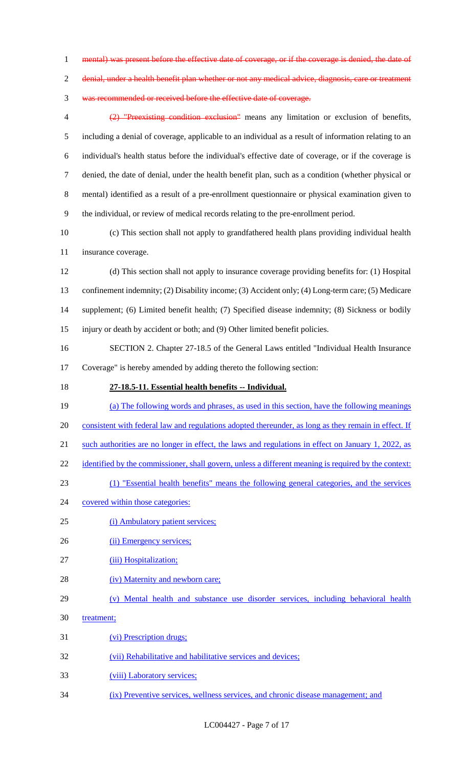1 mental) was present before the effective date of coverage, or if the coverage is denied, the date of

2 denial, under a health benefit plan whether or not any medical advice, diagnosis, care or treatment

was recommended or received before the effective date of coverage.

 (2) "Preexisting condition exclusion" means any limitation or exclusion of benefits, including a denial of coverage, applicable to an individual as a result of information relating to an individual's health status before the individual's effective date of coverage, or if the coverage is denied, the date of denial, under the health benefit plan, such as a condition (whether physical or mental) identified as a result of a pre-enrollment questionnaire or physical examination given to the individual, or review of medical records relating to the pre-enrollment period.

 (c) This section shall not apply to grandfathered health plans providing individual health insurance coverage.

 (d) This section shall not apply to insurance coverage providing benefits for: (1) Hospital confinement indemnity; (2) Disability income; (3) Accident only; (4) Long-term care; (5) Medicare supplement; (6) Limited benefit health; (7) Specified disease indemnity; (8) Sickness or bodily injury or death by accident or both; and (9) Other limited benefit policies.

 SECTION 2. Chapter 27-18.5 of the General Laws entitled "Individual Health Insurance Coverage" is hereby amended by adding thereto the following section:

**27-18.5-11. Essential health benefits -- Individual.** 

 (a) The following words and phrases, as used in this section, have the following meanings 20 consistent with federal law and regulations adopted thereunder, as long as they remain in effect. If such authorities are no longer in effect, the laws and regulations in effect on January 1, 2022, as 22 identified by the commissioner, shall govern, unless a different meaning is required by the context: (1) "Essential health benefits" means the following general categories, and the services 24 covered within those categories:

- (i) Ambulatory patient services;
- 26 (ii) Emergency services;
- (iii) Hospitalization;
- 28 (iv) Maternity and newborn care;
- (v) Mental health and substance use disorder services, including behavioral health
- 30 treatment;
- (vi) Prescription drugs;
- (vii) Rehabilitative and habilitative services and devices;
- 33 (viii) Laboratory services;
- (ix) Preventive services, wellness services, and chronic disease management; and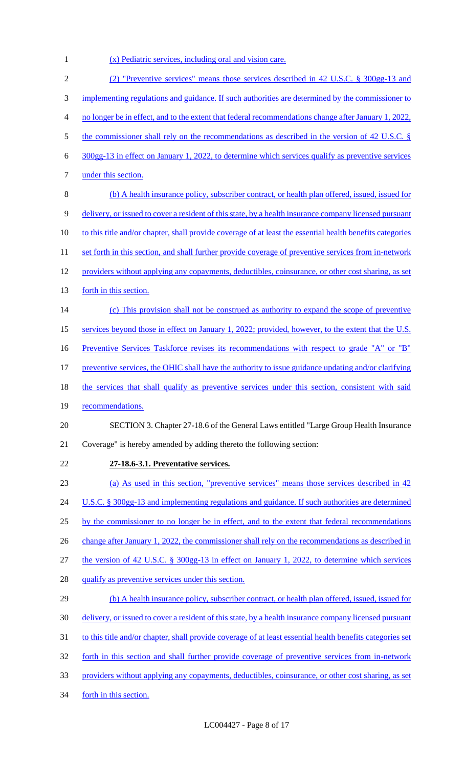1 (x) Pediatric services, including oral and vision care.

| $\overline{2}$ | (2) "Preventive services" means those services described in 42 U.S.C. § 300gg-13 and                      |
|----------------|-----------------------------------------------------------------------------------------------------------|
| 3              | implementing regulations and guidance. If such authorities are determined by the commissioner to          |
| $\overline{4}$ | no longer be in effect, and to the extent that federal recommendations change after January 1, 2022,      |
| 5              | the commissioner shall rely on the recommendations as described in the version of 42 U.S.C. $\S$          |
| 6              | $300gg-13$ in effect on January 1, 2022, to determine which services qualify as preventive services       |
| 7              | under this section.                                                                                       |
| 8              | (b) A health insurance policy, subscriber contract, or health plan offered, issued, issued for            |
| 9              | delivery, or issued to cover a resident of this state, by a health insurance company licensed pursuant    |
| 10             | to this title and/or chapter, shall provide coverage of at least the essential health benefits categories |
| 11             | set forth in this section, and shall further provide coverage of preventive services from in-network      |
| 12             | providers without applying any copayments, deductibles, coinsurance, or other cost sharing, as set        |
| 13             | forth in this section.                                                                                    |
| 14             | (c) This provision shall not be construed as authority to expand the scope of preventive                  |
| 15             | services beyond those in effect on January 1, 2022; provided, however, to the extent that the U.S.        |
| 16             | Preventive Services Taskforce revises its recommendations with respect to grade "A" or "B"                |
| 17             | preventive services, the OHIC shall have the authority to issue guidance updating and/or clarifying       |
| 18             | the services that shall qualify as preventive services under this section, consistent with said           |
| 19             | recommendations.                                                                                          |
| 20             | SECTION 3. Chapter 27-18.6 of the General Laws entitled "Large Group Health Insurance"                    |
| 21             | Coverage" is hereby amended by adding thereto the following section:                                      |
| 22             | 27-18.6-3.1. Preventative services.                                                                       |
| 23             | (a) As used in this section, "preventive services" means those services described in 42                   |
| 24             | U.S.C. $\S$ 300gg-13 and implementing regulations and guidance. If such authorities are determined        |
| 25             | by the commissioner to no longer be in effect, and to the extent that federal recommendations             |
| 26             | change after January 1, 2022, the commissioner shall rely on the recommendations as described in          |
| 27             | the version of 42 U.S.C. § 300gg-13 in effect on January 1, 2022, to determine which services             |
| 28             | qualify as preventive services under this section.                                                        |
| 29             | (b) A health insurance policy, subscriber contract, or health plan offered, issued, issued for            |
| 30             | delivery, or issued to cover a resident of this state, by a health insurance company licensed pursuant    |
| 31             | to this title and/or chapter, shall provide coverage of at least essential health benefits categories set |
| 32             | forth in this section and shall further provide coverage of preventive services from in-network           |
| 33             | providers without applying any copayments, deductibles, coinsurance, or other cost sharing, as set        |
| 34             | forth in this section.                                                                                    |
|                |                                                                                                           |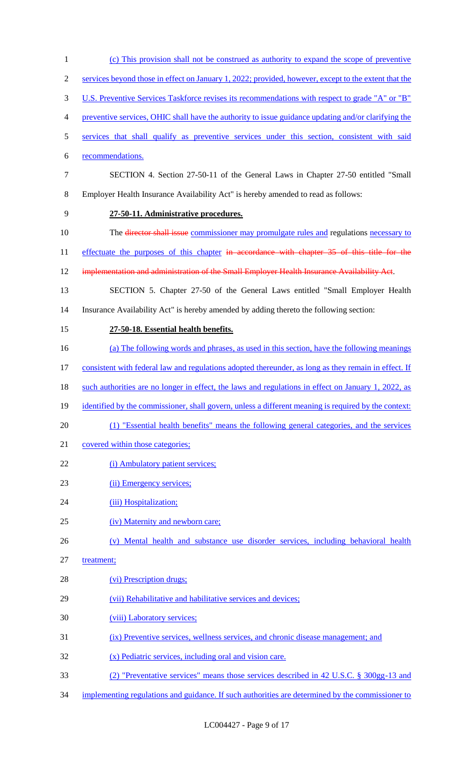| $\mathbf{1}$   | (c) This provision shall not be construed as authority to expand the scope of preventive             |
|----------------|------------------------------------------------------------------------------------------------------|
| $\mathfrak{2}$ | services beyond those in effect on January 1, 2022; provided, however, except to the extent that the |
| 3              | U.S. Preventive Services Taskforce revises its recommendations with respect to grade "A" or "B"      |
| 4              | preventive services, OHIC shall have the authority to issue guidance updating and/or clarifying the  |
| 5              | services that shall qualify as preventive services under this section, consistent with said          |
| 6              | recommendations.                                                                                     |
| $\tau$         | SECTION 4. Section 27-50-11 of the General Laws in Chapter 27-50 entitled "Small                     |
| 8              | Employer Health Insurance Availability Act" is hereby amended to read as follows:                    |
| 9              | 27-50-11. Administrative procedures.                                                                 |
| 10             | The <del>director shall issue</del> commissioner may promulgate rules and regulations necessary to   |
| 11             | effectuate the purposes of this chapter in accordance with chapter 35 of this title for the          |
| 12             | implementation and administration of the Small Employer Health Insurance Availability Act.           |
| 13             | SECTION 5. Chapter 27-50 of the General Laws entitled "Small Employer Health                         |
| 14             | Insurance Availability Act" is hereby amended by adding thereto the following section:               |
| 15             | 27-50-18. Essential health benefits.                                                                 |
| 16             | (a) The following words and phrases, as used in this section, have the following meanings            |
| 17             | consistent with federal law and regulations adopted thereunder, as long as they remain in effect. If |
| 18             | such authorities are no longer in effect, the laws and regulations in effect on January 1, 2022, as  |
| 19             | identified by the commissioner, shall govern, unless a different meaning is required by the context: |
| 20             | (1) "Essential health benefits" means the following general categories, and the services             |
| 21             | covered within those categories;                                                                     |
| 22             | (i) Ambulatory patient services;                                                                     |
| 23             | (ii) Emergency services;                                                                             |
| 24             | (iii) Hospitalization;                                                                               |
| 25             | (iv) Maternity and newborn care;                                                                     |
| 26             | (v) Mental health and substance use disorder services, including behavioral health                   |
| 27             | treatment;                                                                                           |
| 28             | (vi) Prescription drugs;                                                                             |
| 29             | (vii) Rehabilitative and habilitative services and devices;                                          |
| 30             | (viii) Laboratory services;                                                                          |
| 31             | (ix) Preventive services, wellness services, and chronic disease management; and                     |
| 32             | (x) Pediatric services, including oral and vision care.                                              |
| 33             | (2) "Preventative services" means those services described in 42 U.S.C. § 300gg-13 and               |
|                |                                                                                                      |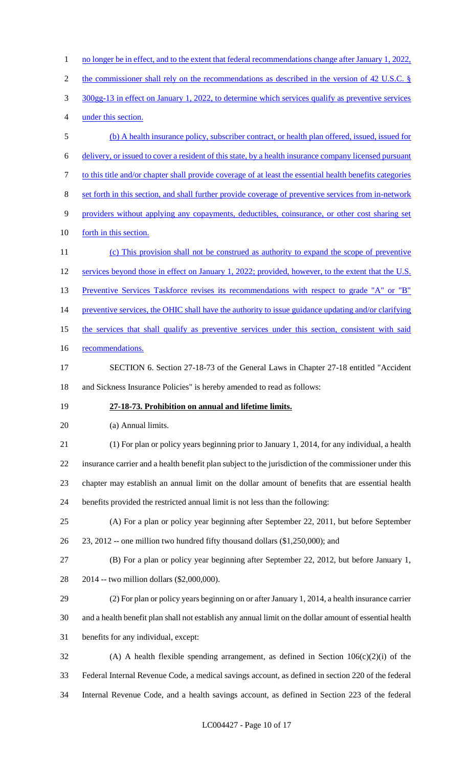1 no longer be in effect, and to the extent that federal recommendations change after January 1, 2022, 2 the commissioner shall rely on the recommendations as described in the version of 42 U.S.C. § 300gg-13 in effect on January 1, 2022, to determine which services qualify as preventive services under this section. (b) A health insurance policy, subscriber contract, or health plan offered, issued, issued for delivery, or issued to cover a resident of this state, by a health insurance company licensed pursuant to this title and/or chapter shall provide coverage of at least the essential health benefits categories set forth in this section, and shall further provide coverage of preventive services from in-network providers without applying any copayments, deductibles, coinsurance, or other cost sharing set 10 forth in this section. (c) This provision shall not be construed as authority to expand the scope of preventive 12 services beyond those in effect on January 1, 2022; provided, however, to the extent that the U.S. 13 Preventive Services Taskforce revises its recommendations with respect to grade "A" or "B" 14 preventive services, the OHIC shall have the authority to issue guidance updating and/or clarifying the services that shall qualify as preventive services under this section, consistent with said 16 recommendations. SECTION 6. Section 27-18-73 of the General Laws in Chapter 27-18 entitled "Accident and Sickness Insurance Policies" is hereby amended to read as follows: **27-18-73. Prohibition on annual and lifetime limits.** (a) Annual limits. (1) For plan or policy years beginning prior to January 1, 2014, for any individual, a health insurance carrier and a health benefit plan subject to the jurisdiction of the commissioner under this chapter may establish an annual limit on the dollar amount of benefits that are essential health benefits provided the restricted annual limit is not less than the following: (A) For a plan or policy year beginning after September 22, 2011, but before September 23, 2012 -- one million two hundred fifty thousand dollars (\$1,250,000); and (B) For a plan or policy year beginning after September 22, 2012, but before January 1, 2014 -- two million dollars (\$2,000,000). (2) For plan or policy years beginning on or after January 1, 2014, a health insurance carrier and a health benefit plan shall not establish any annual limit on the dollar amount of essential health benefits for any individual, except: (A) A health flexible spending arrangement, as defined in Section 106(c)(2)(i) of the Federal Internal Revenue Code, a medical savings account, as defined in section 220 of the federal Internal Revenue Code, and a health savings account, as defined in Section 223 of the federal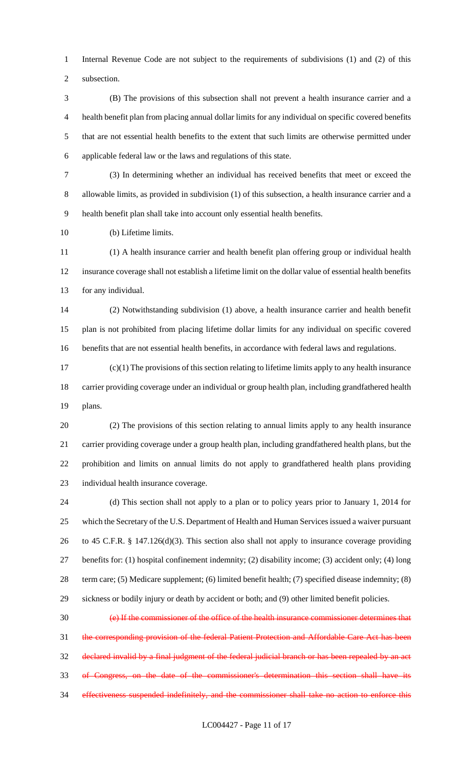Internal Revenue Code are not subject to the requirements of subdivisions (1) and (2) of this subsection.

 (B) The provisions of this subsection shall not prevent a health insurance carrier and a health benefit plan from placing annual dollar limits for any individual on specific covered benefits that are not essential health benefits to the extent that such limits are otherwise permitted under applicable federal law or the laws and regulations of this state.

 (3) In determining whether an individual has received benefits that meet or exceed the allowable limits, as provided in subdivision (1) of this subsection, a health insurance carrier and a health benefit plan shall take into account only essential health benefits.

(b) Lifetime limits.

 (1) A health insurance carrier and health benefit plan offering group or individual health insurance coverage shall not establish a lifetime limit on the dollar value of essential health benefits for any individual.

 (2) Notwithstanding subdivision (1) above, a health insurance carrier and health benefit plan is not prohibited from placing lifetime dollar limits for any individual on specific covered benefits that are not essential health benefits, in accordance with federal laws and regulations.

 (c)(1) The provisions of this section relating to lifetime limits apply to any health insurance carrier providing coverage under an individual or group health plan, including grandfathered health plans.

 (2) The provisions of this section relating to annual limits apply to any health insurance carrier providing coverage under a group health plan, including grandfathered health plans, but the prohibition and limits on annual limits do not apply to grandfathered health plans providing individual health insurance coverage.

 (d) This section shall not apply to a plan or to policy years prior to January 1, 2014 for which the Secretary of the U.S. Department of Health and Human Services issued a waiver pursuant to 45 C.F.R. § 147.126(d)(3). This section also shall not apply to insurance coverage providing benefits for: (1) hospital confinement indemnity; (2) disability income; (3) accident only; (4) long term care; (5) Medicare supplement; (6) limited benefit health; (7) specified disease indemnity; (8) sickness or bodily injury or death by accident or both; and (9) other limited benefit policies.

 (e) If the commissioner of the office of the health insurance commissioner determines that the corresponding provision of the federal Patient Protection and Affordable Care Act has been declared invalid by a final judgment of the federal judicial branch or has been repealed by an act of Congress, on the date of the commissioner's determination this section shall have its effectiveness suspended indefinitely, and the commissioner shall take no action to enforce this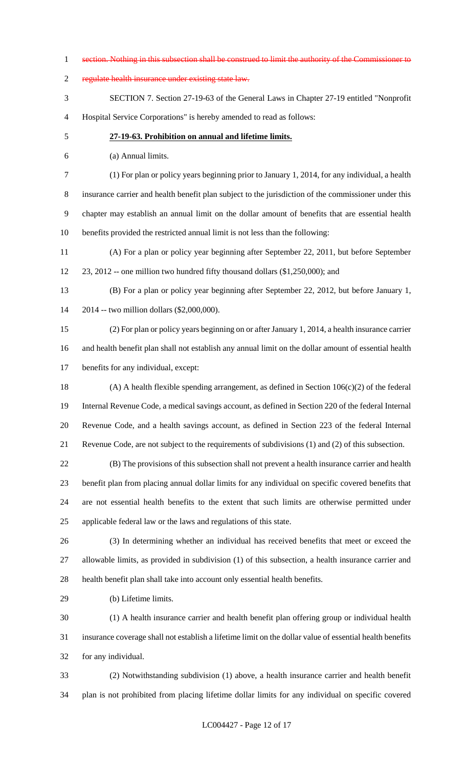section. Nothing in this subsection shall be construed to limit the authority of the Commissioner to regulate health insurance under existing state law. SECTION 7. Section 27-19-63 of the General Laws in Chapter 27-19 entitled "Nonprofit Hospital Service Corporations" is hereby amended to read as follows: **27-19-63. Prohibition on annual and lifetime limits.** (a) Annual limits. (1) For plan or policy years beginning prior to January 1, 2014, for any individual, a health insurance carrier and health benefit plan subject to the jurisdiction of the commissioner under this chapter may establish an annual limit on the dollar amount of benefits that are essential health benefits provided the restricted annual limit is not less than the following: (A) For a plan or policy year beginning after September 22, 2011, but before September 23, 2012 -- one million two hundred fifty thousand dollars (\$1,250,000); and (B) For a plan or policy year beginning after September 22, 2012, but before January 1, 2014 -- two million dollars (\$2,000,000). (2) For plan or policy years beginning on or after January 1, 2014, a health insurance carrier and health benefit plan shall not establish any annual limit on the dollar amount of essential health benefits for any individual, except: (A) A health flexible spending arrangement, as defined in Section 106(c)(2) of the federal Internal Revenue Code, a medical savings account, as defined in Section 220 of the federal Internal Revenue Code, and a health savings account, as defined in Section 223 of the federal Internal Revenue Code, are not subject to the requirements of subdivisions (1) and (2) of this subsection. (B) The provisions of this subsection shall not prevent a health insurance carrier and health benefit plan from placing annual dollar limits for any individual on specific covered benefits that are not essential health benefits to the extent that such limits are otherwise permitted under applicable federal law or the laws and regulations of this state. (3) In determining whether an individual has received benefits that meet or exceed the allowable limits, as provided in subdivision (1) of this subsection, a health insurance carrier and health benefit plan shall take into account only essential health benefits. (b) Lifetime limits. (1) A health insurance carrier and health benefit plan offering group or individual health insurance coverage shall not establish a lifetime limit on the dollar value of essential health benefits for any individual. (2) Notwithstanding subdivision (1) above, a health insurance carrier and health benefit plan is not prohibited from placing lifetime dollar limits for any individual on specific covered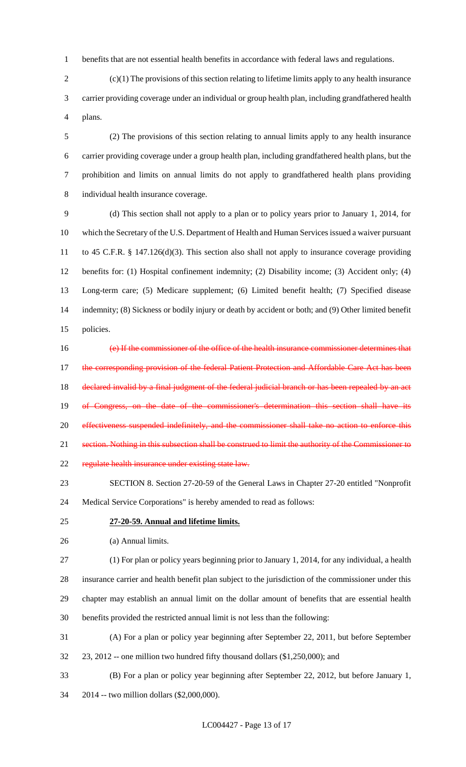benefits that are not essential health benefits in accordance with federal laws and regulations.

 (c)(1) The provisions of this section relating to lifetime limits apply to any health insurance carrier providing coverage under an individual or group health plan, including grandfathered health plans.

 (2) The provisions of this section relating to annual limits apply to any health insurance carrier providing coverage under a group health plan, including grandfathered health plans, but the prohibition and limits on annual limits do not apply to grandfathered health plans providing individual health insurance coverage.

 (d) This section shall not apply to a plan or to policy years prior to January 1, 2014, for which the Secretary of the U.S. Department of Health and Human Services issued a waiver pursuant to 45 C.F.R. § 147.126(d)(3). This section also shall not apply to insurance coverage providing benefits for: (1) Hospital confinement indemnity; (2) Disability income; (3) Accident only; (4) Long-term care; (5) Medicare supplement; (6) Limited benefit health; (7) Specified disease indemnity; (8) Sickness or bodily injury or death by accident or both; and (9) Other limited benefit policies.

 (e) If the commissioner of the office of the health insurance commissioner determines that 17 the corresponding provision of the federal Patient Protection and Affordable Care Act has been 18 declared invalid by a final judgment of the federal judicial branch or has been repealed by an act 19 of Congress, on the date of the commissioner's determination this section shall have its effectiveness suspended indefinitely, and the commissioner shall take no action to enforce this section. Nothing in this subsection shall be construed to limit the authority of the Commissioner to regulate health insurance under existing state law.

 SECTION 8. Section 27-20-59 of the General Laws in Chapter 27-20 entitled "Nonprofit Medical Service Corporations" is hereby amended to read as follows:

#### **27-20-59. Annual and lifetime limits.**

(a) Annual limits.

 (1) For plan or policy years beginning prior to January 1, 2014, for any individual, a health insurance carrier and health benefit plan subject to the jurisdiction of the commissioner under this chapter may establish an annual limit on the dollar amount of benefits that are essential health benefits provided the restricted annual limit is not less than the following:

(A) For a plan or policy year beginning after September 22, 2011, but before September

- 23, 2012 -- one million two hundred fifty thousand dollars (\$1,250,000); and
- (B) For a plan or policy year beginning after September 22, 2012, but before January 1, 2014 -- two million dollars (\$2,000,000).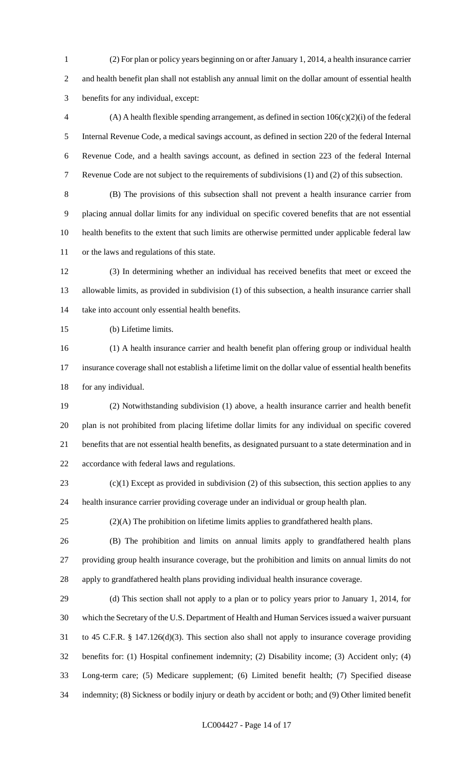(2) For plan or policy years beginning on or after January 1, 2014, a health insurance carrier and health benefit plan shall not establish any annual limit on the dollar amount of essential health benefits for any individual, except:

4 (A) A health flexible spending arrangement, as defined in section  $106(c)(2)(i)$  of the federal Internal Revenue Code, a medical savings account, as defined in section 220 of the federal Internal Revenue Code, and a health savings account, as defined in section 223 of the federal Internal Revenue Code are not subject to the requirements of subdivisions (1) and (2) of this subsection.

 (B) The provisions of this subsection shall not prevent a health insurance carrier from placing annual dollar limits for any individual on specific covered benefits that are not essential health benefits to the extent that such limits are otherwise permitted under applicable federal law or the laws and regulations of this state.

 (3) In determining whether an individual has received benefits that meet or exceed the allowable limits, as provided in subdivision (1) of this subsection, a health insurance carrier shall take into account only essential health benefits.

(b) Lifetime limits.

 (1) A health insurance carrier and health benefit plan offering group or individual health insurance coverage shall not establish a lifetime limit on the dollar value of essential health benefits for any individual.

 (2) Notwithstanding subdivision (1) above, a health insurance carrier and health benefit plan is not prohibited from placing lifetime dollar limits for any individual on specific covered benefits that are not essential health benefits, as designated pursuant to a state determination and in accordance with federal laws and regulations.

23 (c)(1) Except as provided in subdivision (2) of this subsection, this section applies to any health insurance carrier providing coverage under an individual or group health plan.

(2)(A) The prohibition on lifetime limits applies to grandfathered health plans.

 (B) The prohibition and limits on annual limits apply to grandfathered health plans providing group health insurance coverage, but the prohibition and limits on annual limits do not apply to grandfathered health plans providing individual health insurance coverage.

 (d) This section shall not apply to a plan or to policy years prior to January 1, 2014, for which the Secretary of the U.S. Department of Health and Human Services issued a waiver pursuant to 45 C.F.R. § 147.126(d)(3). This section also shall not apply to insurance coverage providing benefits for: (1) Hospital confinement indemnity; (2) Disability income; (3) Accident only; (4) Long-term care; (5) Medicare supplement; (6) Limited benefit health; (7) Specified disease indemnity; (8) Sickness or bodily injury or death by accident or both; and (9) Other limited benefit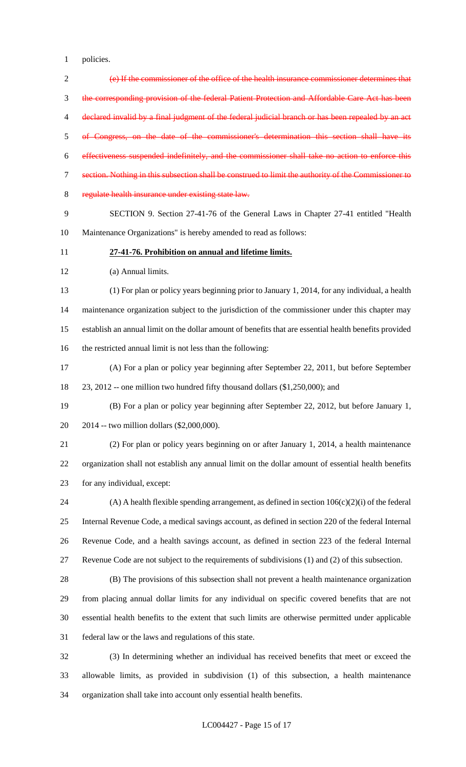policies.

 (e) If the commissioner of the office of the health insurance commissioner determines that the corresponding provision of the federal Patient Protection and Affordable Care Act has been 4 declared invalid by a final judgment of the federal judicial branch or has been repealed by an act of Congress, on the date of the commissioner's determination this section shall have its effectiveness suspended indefinitely, and the commissioner shall take no action to enforce this section. Nothing in this subsection shall be construed to limit the authority of the Commissioner to regulate health insurance under existing state law. SECTION 9. Section 27-41-76 of the General Laws in Chapter 27-41 entitled "Health Maintenance Organizations" is hereby amended to read as follows: **27-41-76. Prohibition on annual and lifetime limits.** (a) Annual limits. (1) For plan or policy years beginning prior to January 1, 2014, for any individual, a health maintenance organization subject to the jurisdiction of the commissioner under this chapter may establish an annual limit on the dollar amount of benefits that are essential health benefits provided the restricted annual limit is not less than the following: (A) For a plan or policy year beginning after September 22, 2011, but before September 23, 2012 -- one million two hundred fifty thousand dollars (\$1,250,000); and (B) For a plan or policy year beginning after September 22, 2012, but before January 1, 2014 -- two million dollars (\$2,000,000). (2) For plan or policy years beginning on or after January 1, 2014, a health maintenance organization shall not establish any annual limit on the dollar amount of essential health benefits for any individual, except: (A) A health flexible spending arrangement, as defined in section 106(c)(2)(i) of the federal Internal Revenue Code, a medical savings account, as defined in section 220 of the federal Internal Revenue Code, and a health savings account, as defined in section 223 of the federal Internal Revenue Code are not subject to the requirements of subdivisions (1) and (2) of this subsection. (B) The provisions of this subsection shall not prevent a health maintenance organization from placing annual dollar limits for any individual on specific covered benefits that are not essential health benefits to the extent that such limits are otherwise permitted under applicable federal law or the laws and regulations of this state. (3) In determining whether an individual has received benefits that meet or exceed the allowable limits, as provided in subdivision (1) of this subsection, a health maintenance

organization shall take into account only essential health benefits.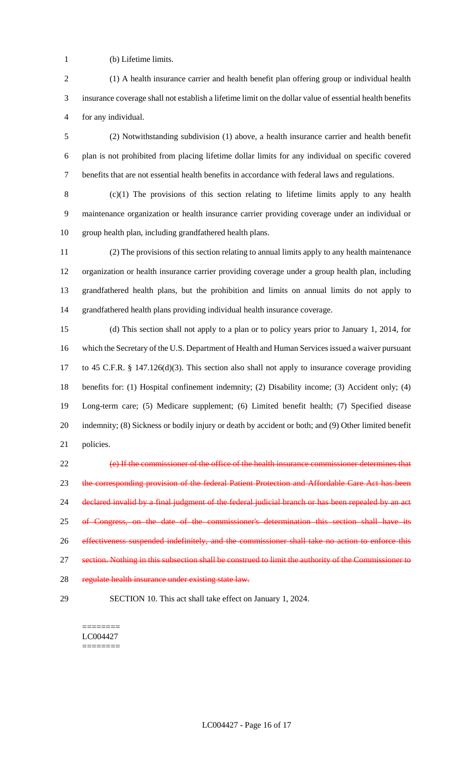(b) Lifetime limits.

 (1) A health insurance carrier and health benefit plan offering group or individual health insurance coverage shall not establish a lifetime limit on the dollar value of essential health benefits for any individual.

 (2) Notwithstanding subdivision (1) above, a health insurance carrier and health benefit plan is not prohibited from placing lifetime dollar limits for any individual on specific covered benefits that are not essential health benefits in accordance with federal laws and regulations.

 (c)(1) The provisions of this section relating to lifetime limits apply to any health maintenance organization or health insurance carrier providing coverage under an individual or group health plan, including grandfathered health plans.

 (2) The provisions of this section relating to annual limits apply to any health maintenance organization or health insurance carrier providing coverage under a group health plan, including grandfathered health plans, but the prohibition and limits on annual limits do not apply to grandfathered health plans providing individual health insurance coverage.

 (d) This section shall not apply to a plan or to policy years prior to January 1, 2014, for which the Secretary of the U.S. Department of Health and Human Services issued a waiver pursuant to 45 C.F.R. § 147.126(d)(3). This section also shall not apply to insurance coverage providing benefits for: (1) Hospital confinement indemnity; (2) Disability income; (3) Accident only; (4) Long-term care; (5) Medicare supplement; (6) Limited benefit health; (7) Specified disease indemnity; (8) Sickness or bodily injury or death by accident or both; and (9) Other limited benefit policies.

 (e) If the commissioner of the office of the health insurance commissioner determines that 23 the corresponding provision of the federal Patient Protection and Affordable Care Act has been 24 declared invalid by a final judgment of the federal judicial branch or has been repealed by an act of Congress, on the date of the commissioner's determination this section shall have its effectiveness suspended indefinitely, and the commissioner shall take no action to enforce this section. Nothing in this subsection shall be construed to limit the authority of the Commissioner to 28 regulate health insurance under existing state law.

SECTION 10. This act shall take effect on January 1, 2024.

======== LC004427 ========